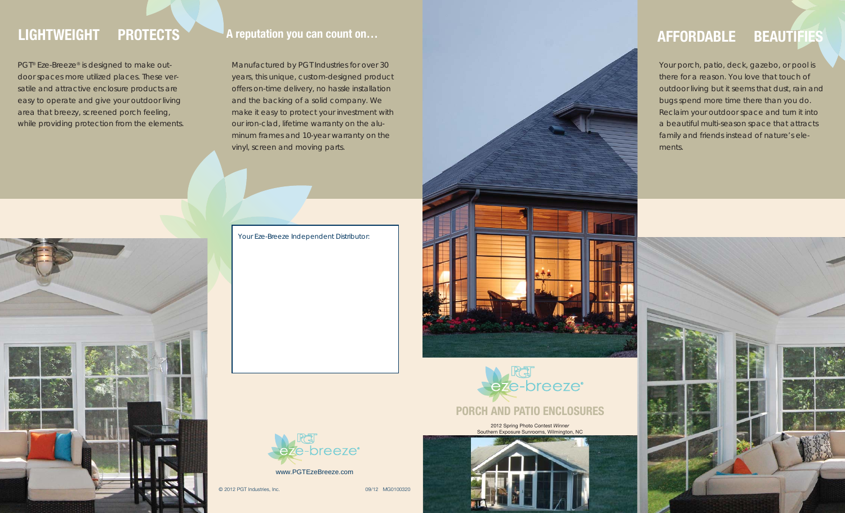# **LIGHTWEIGHT PROTECTS**

PGT<sup>®</sup> Eze-Breeze® is designed to make outdoor spaces more utilized places. These versatile and attractive enclosure products are easy to operate and give your outdoor living area that breezy, screened porch feeling, while providing protection from the elements.



Manufactured by PGT Industries for over 30 years, this unique, custom-designed product offers on-time delivery, no hassle installation and the backing of a solid company. We make it easy to protect your investment with our iron-clad, lifetime warranty on the aluminum frames and 10-year warranty on the vinyl, screen and moving parts.

Your Eze-Breeze Independent Distributor:



© 2012 PGT Industries, Inc. 09/12 MG0100320

**PORCH AND PATIO ENCLOSURES**

eze-breeze<sup>®</sup>

2012 Spring Photo Contest *Winner* Southern Exposure Sunrooms, Wilmington, NC

# **AFFORDABLE BEAUTIFIES**

Your porch, patio, deck, gazebo, or pool is there for a reason. You love that touch of outdoor living but it seems that dust, rain and bugs spend more time there than you do. Reclaim your outdoor space and turn it into a beautiful multi-season space that attracts family and friends instead of nature's elements.